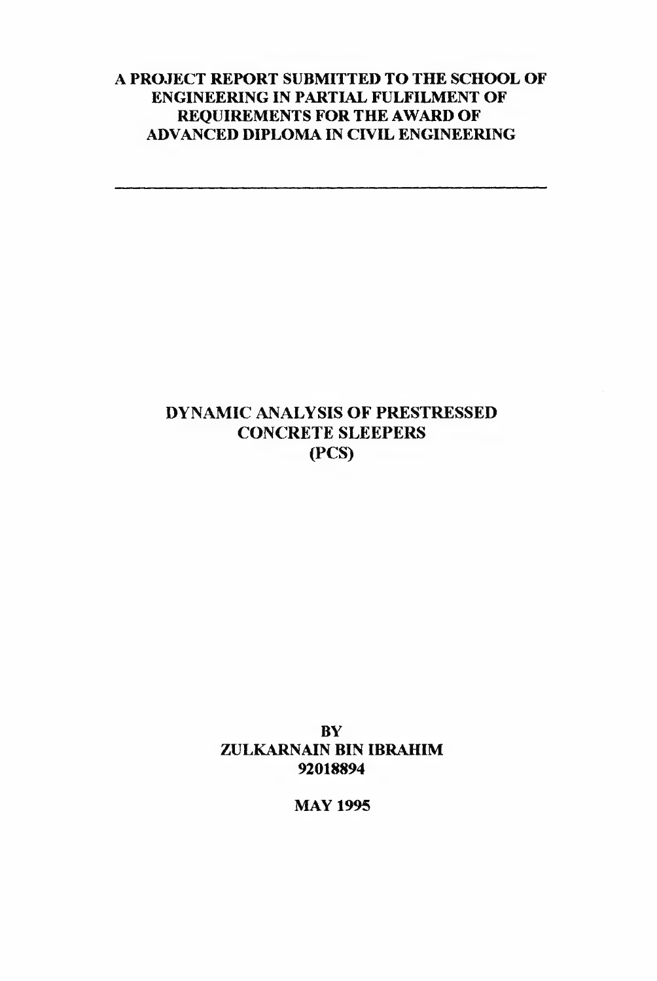### **A PROJECT REPORT SUBMITTED TO THE SCHOOL OF ENGINEERING IN PARTIAL FULFILMENT OF REQUIREMENTS FOR THE AWARD OF ADVANCED DIPLOMA IN CIVIL ENGINEERING**

# **DYNAMIC ANALYSIS OF PRESTRESSED CONCRETE SLEEPERS (PCS)**

**BY ZULKARNAIN BIN IBRAHIM 92018894**

**MAY 1995**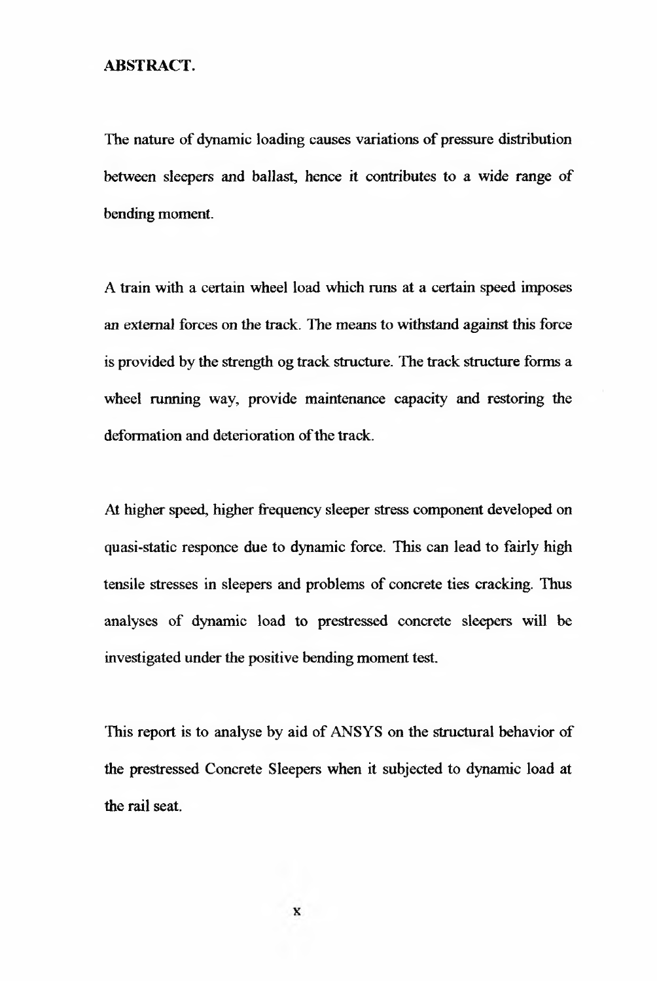### <span id="page-1-0"></span>**ABSTRACT.**

The nature of dynamic loading causes variations of pressure distribution between sleepers and ballast, hence it contributes to a wide range of bending moment.

A train with a certain wheel load which runs at a certain speed imposes an external forces on the track. The means to withstand against this force is provided by the strength og track structure. The track structure forms a wheel running way, provide maintenance capacity and restoring the deformation and deterioration of the track.

At higher speed, higher frequency sleeper stress component developed on quasi-static responce due to dynamic force. This can lead to fairly high tensile stresses in sleepers and problems of concrete ties cracking. Thus analyses of dynamic load to prestressed concrete sleepers will be investigated under the positive bending moment test.

This report is to analyse by aid of ANSYS on the structural behavior of the prestressed Concrete Sleepers when it subjected to dynamic load at the rail seat.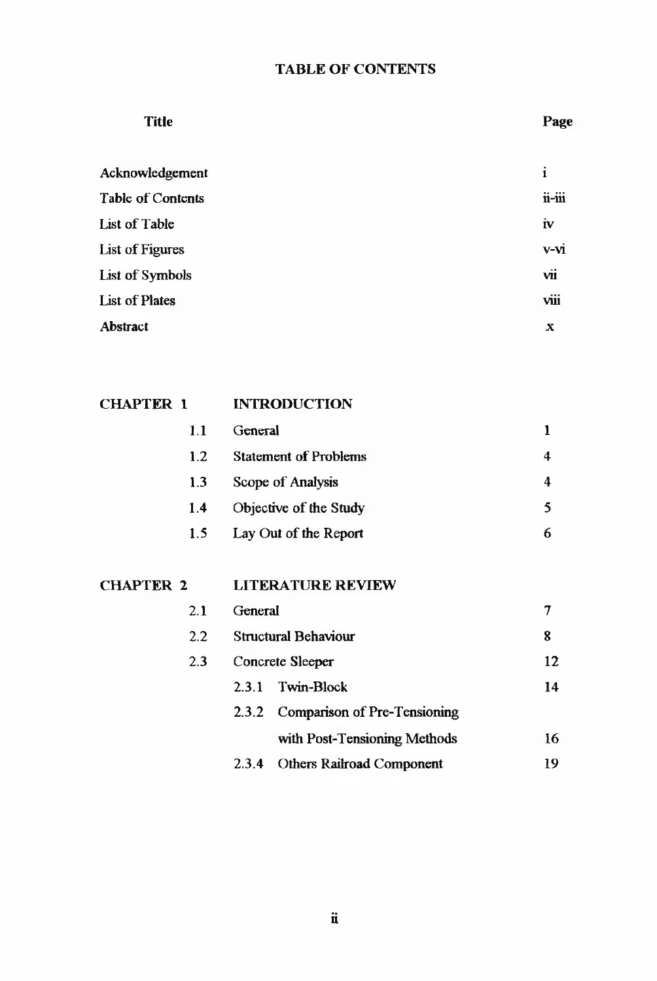## TABLE OF CONTENTS

| <b>Title</b>          |  |
|-----------------------|--|
| Acknowledgement       |  |
| Table of Contents     |  |
| List of Table         |  |
| List of Figures       |  |
| List of Symbols       |  |
| <b>List of Plates</b> |  |
| Abstract              |  |

| <b>CHAPTER 1</b> | <b>INTRODUCTION</b>          |   |
|------------------|------------------------------|---|
| 1.1              | General                      |   |
| 1.2              | <b>Statement of Problems</b> | 4 |
| 1.3              | Scope of Analysis            | 4 |
| 1.4              | Objective of the Study       | 5 |
| 1.5              | Lay Out of the Report        | 6 |
|                  |                              |   |

| 2.1 | General              |                                    |    |
|-----|----------------------|------------------------------------|----|
| 2.2 | Structural Behaviour | 8                                  |    |
| 2.3 | Concrete Sleeper     |                                    |    |
|     | 2.3.1                | Twin-Block                         | 14 |
|     |                      | 2.3.2 Comparison of Pre-Tensioning |    |
|     |                      | with Post-Tensioning Methods       | 16 |
|     | 2.3.4                | Others Railroad Component          | 19 |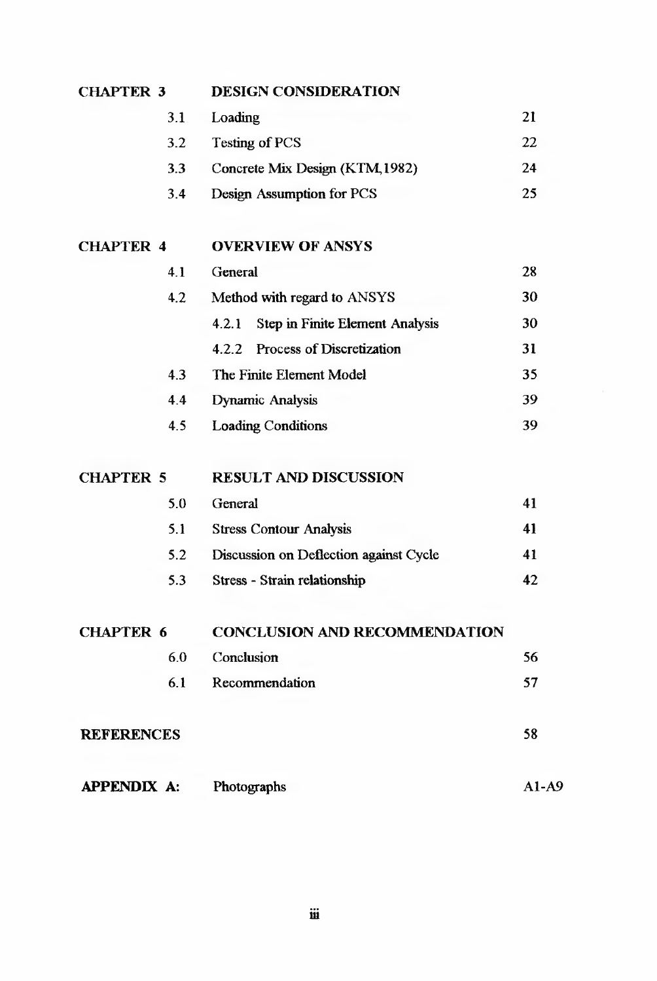| <b>CHAPTER 3</b>   |     | <b>DESIGN CONSIDERATION</b>                     |         |
|--------------------|-----|-------------------------------------------------|---------|
|                    | 3.1 | Loading                                         | 21      |
|                    | 3.2 | Testing of PCS                                  | 22      |
|                    | 3.3 | Concrete Mix Design (KTM, 1982)                 | 24      |
|                    | 3.4 | <b>Design Assumption for PCS</b>                | 25      |
| <b>CHAPTER 4</b>   |     | <b>OVERVIEW OF ANSYS</b>                        |         |
|                    | 4.1 | General                                         | 28      |
|                    | 4.2 | Method with regard to ANSYS                     | 30      |
|                    |     | <b>Step in Finite Element Analysis</b><br>4.2.1 | 30      |
|                    |     | Process of Discretization<br>4.2.2              | 31      |
|                    | 4.3 | The Finite Element Model                        | 35      |
|                    | 4.4 | <b>Dynamic Analysis</b>                         | 39      |
|                    | 4.5 | <b>Loading Conditions</b>                       | 39      |
| <b>CHAPTER 5</b>   |     | <b>RESULT AND DISCUSSION</b>                    |         |
|                    | 5.0 | General                                         | 41      |
|                    | 5.1 | <b>Stress Contour Analysis</b>                  | 41      |
|                    | 5.2 | Discussion on Deflection against Cycle          | 41      |
|                    | 5.3 | Stress - Strain relationship                    | 42      |
| <b>CHAPTER 6</b>   |     | <b>CONCLUSION AND RECOMMENDATION</b>            |         |
|                    | 6.0 | Conclusion                                      | 56      |
|                    | 6.1 | Recommendation                                  | 57      |
| <b>REFERENCES</b>  |     |                                                 | 58      |
| <b>APPENDIX A:</b> |     | Photographs                                     | $A1-A9$ |